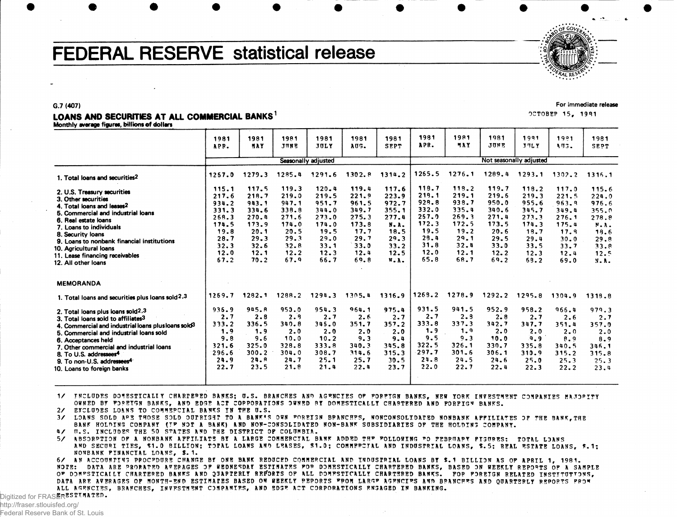# **FEDERAL RESERVE statistical release**

## **For immediate release**

OCTOBEP 15, 1991

LOANS AND SECURITIES AT ALL COMMERCIAL BANKS<sup>1</sup> Monthly average figures, billions of dollars

**G.7 (407 )**

| 1981<br>APR.                                                                               | 1981<br>MAY                                                                                | 1981<br>JUNE                                                                               | 1981<br>JULY                                                                                   | 1981<br>AUS.                                                                               | 1981<br><b>SEPT</b>                                                                       | 1981<br>APR.                                                                      | 1981<br>MAY                                                                       | 1981<br>JUNE                                                                      | 1991<br>JULY                                                                               | 1991<br><b>AUS.</b>                                                                        | 1981<br>SEPT                                                                              |
|--------------------------------------------------------------------------------------------|--------------------------------------------------------------------------------------------|--------------------------------------------------------------------------------------------|------------------------------------------------------------------------------------------------|--------------------------------------------------------------------------------------------|-------------------------------------------------------------------------------------------|-----------------------------------------------------------------------------------|-----------------------------------------------------------------------------------|-----------------------------------------------------------------------------------|--------------------------------------------------------------------------------------------|--------------------------------------------------------------------------------------------|-------------------------------------------------------------------------------------------|
|                                                                                            |                                                                                            |                                                                                            |                                                                                                |                                                                                            |                                                                                           |                                                                                   |                                                                                   |                                                                                   |                                                                                            |                                                                                            |                                                                                           |
| 1257.0                                                                                     | 1279.3                                                                                     | 1285.4                                                                                     | 1291.6                                                                                         | 1302.8                                                                                     | 1314.2                                                                                    | 1265.5                                                                            | 1276.1                                                                            | 1289.4                                                                            | 1293.1                                                                                     | $1302 - 2$                                                                                 | 1316.1                                                                                    |
| 115.1<br>217.6<br>934.2<br>331.3<br>268.3<br>174.5<br>19.8<br>28.7<br>32.3<br>12.0<br>67.2 | 117.5<br>218.7<br>943.1<br>334.6<br>270.4<br>173.9<br>20.1<br>29.3<br>32.6<br>12.1<br>70.2 | 119.3<br>219.0<br>947.1<br>338.8<br>271.6<br>174.0<br>20.5<br>29.3<br>32.8<br>12.2<br>67.9 | $120 - 4$<br>219.5<br>951.7<br>344.0<br>273.0<br>174.0<br>19.5<br>29.0<br>33.1<br>12.3<br>66.7 | 119.4<br>221.9<br>961.5<br>349.7<br>275.3<br>173.8<br>17.7<br>29.7<br>33.0<br>12.4<br>69.8 | 117.6<br>223.9<br>972.7<br>355.1<br>277.4<br>N.A.<br>18.5<br>29.3<br>33.2<br>12.5<br>W.A. | 219.1<br>929.8<br>332.0<br>257.9<br>172.3<br>19.5<br>29.4<br>31.8<br>12.0<br>65.8 | 219.1<br>938.7<br>335.4<br>269.3<br>172.5<br>19.2<br>29.1<br>32.4<br>12.1<br>68.7 | 219.6<br>950.0<br>340.6<br>271.4<br>173.5<br>20.6<br>29.5<br>33.0<br>12.2<br>69.2 | 118.2<br>219.3<br>955.6<br>345.7<br>273.3<br>174.3<br>18.7<br>29.4<br>33.5<br>12.3<br>69.2 | 117.0<br>221.5<br>963.8<br>349.4<br>276.1<br>175.4<br>17.9<br>30.0<br>33.7<br>12.4<br>69.0 | 115.6<br>224.0<br>976.6<br>355.0<br>278.8<br>N.A.<br>18.6<br>29.8<br>33.8<br>12.5<br>N.A. |
|                                                                                            |                                                                                            |                                                                                            |                                                                                                |                                                                                            |                                                                                           |                                                                                   |                                                                                   |                                                                                   |                                                                                            |                                                                                            |                                                                                           |
| 1269.7                                                                                     | 1282.1                                                                                     | 1288.2                                                                                     | 1294.3                                                                                         | 1305.4                                                                                     | 1316.9                                                                                    | 1269.2                                                                            | 1278.9                                                                            | 1292.2                                                                            | 1295.8                                                                                     | 1304.9                                                                                     | 1319.8                                                                                    |
| 936.9<br>2.7<br>333.2<br>1.9<br>9.8<br>321.6<br>296.6<br>24.9<br>22.7                      | 945.R<br>2.8<br>336.5<br>1.9<br>9.6<br>325.0<br>$300 - 2$<br>24.8<br>23.5                  | 950.0<br>2.9<br>340.8<br>2.0<br>10.0<br>328.8<br>304.0<br>24.7<br>21.8                     | 954.3<br>2.7<br>345.0<br>2.0<br>10.2<br>333.8<br>308.7<br>$25 - 1$<br>21.4                     | 964.1<br>2.6<br>351.7<br>2.0<br>9.3<br>340.3<br>314.6<br>25.7<br>22.4                      | 975.4<br>2.7<br>357.2<br>2.0<br>9.4<br>345.8<br>315.3<br>30.5<br>23.7                     | 931.5<br>2.7<br>333.8<br>1.9<br>9.5<br>322.5<br>297.7<br>24.8<br>22.0             | 941.5<br>2.9<br>337.3<br>1.9<br>$9 - 3$<br>326.1<br>$301 - 6$<br>24.5<br>22.7     | 952.9<br>2.8<br>342.7<br>2.0<br>10.0<br>330.7<br>306.1<br>24.6<br>22.4            | 958.2<br>2.7<br>347.7<br>2.0<br>9.9<br>335.8<br>310.9<br>25.0<br>22.3                      | 966.4<br>2.6<br>351.4<br>2.0<br>8.9<br>340.5<br>315.2<br>$25 - 3$<br>22.2                  | 979.3<br>2.7<br>357.0<br>2.0<br>8.9<br>346.1<br>315.8<br>25.3<br>23.4                     |
|                                                                                            |                                                                                            |                                                                                            |                                                                                                | Seasonally adjusted                                                                        |                                                                                           |                                                                                   | 118.7                                                                             | 113.2                                                                             | 119.7                                                                                      |                                                                                            | Not seasonally adjusted                                                                   |

1/ INCLUDES DOMESTICALIY CHARTERED BANKS; U.S. BRANCHES AND AGENCIES OP FOREIGN BANKS, NEW YORK INVESTMENT COMPANIES MAJORITY OWNED BY FOREIGN BANKS, AND EDGE ACT COPPORATIONS OWNED BY DOMESTICALLY CHARTERED AND FORFIGN BANKS.

2/ EXCLUDES LOANS TO COMMERCIAL BANKS IN THE U.S.

3/ LOANS SOLD APE THOSE SOLD OUTRIGHT TO A BANK'S OWN FOREIGN BRANCHES, NONCONSOLIDATED NONBANK AFFILIATES OF THE BANK, THE BANK HOLDING COMPANY (IF NOT A BANK) AND NON-CONSOLIDATED NON-BANK SUBSIDIARIES OF THE HOLDING COMPANY.

4/ U.S. INCLUDES THE 50 STATES AND THE DISTRICT OF COLUMBIA.

5/ ABSORPTION OF A NONBANK AFFILIATS BY A LARGE COMMERCIAL BANK ADDED THE FOLLOWING TO FEBRUARY PIGURES: TOTAL LOANS AND SECURI TIES, \$1.0 BILLION; TOTAL LOANS AND LEASES, \$1.0; COMMERCIAL AND INDUSTRIAL LOANS, \$.5; REAL ESTATE LOANS, \$.1; NONBANK FINANCIAL LOANS, \$.1.

6/ AN ACCOUNTING PROCFDURE CHANGE BY ONE BANK REDUCED COMMERCIAL AND INDUSTRIAL LOANS BY \$.1 BILLION AS OF APRIL 1, 1981. NOTE: DATA ARE PRORATED AVERAGES OF WEDNESDAY ESTIMATES FOR DOMESTICALLY CHARTERED BANKS, BASED ON WEEKLY REPORTS OF A SAMPLE OF DOMFSTICALLY CHARTERED BANKS AND QUAPTERLY REPORTS OF ALL DOMESTICALLY CHARTERED BANKS. FOR FOREIGN RELATED INSTITUTIONS, DATA ARE AVERAGES OF MONTH-END ESTIMATES BASED ON WEEKLY REPORTS FROM LARGE AGENCIES AND BRANCHES AND QUARTERLY REPORTS FROM ALL AGENCIES, BRANCHES, INVESTMENT COMPANIES, AND EDGE ACT CORPORATIONS ENGAGED IN BANKING.

Digitized for  $\mathsf{FRASER}\mathtt{ESTMATED}$  . http://fraser.stlouisfed.org/

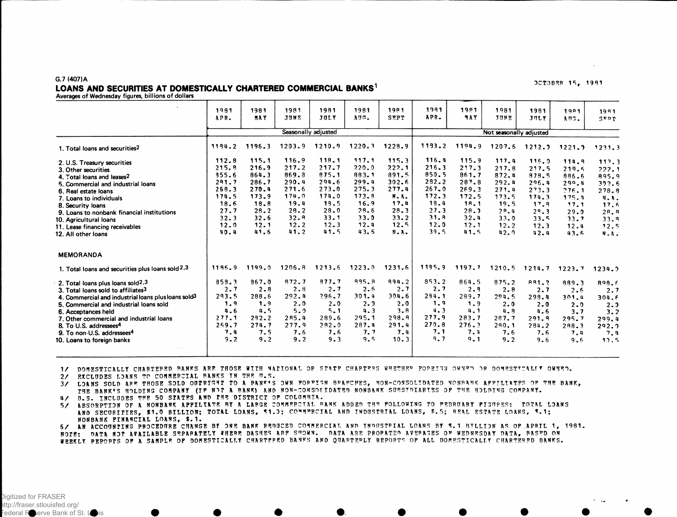### G.7 (407)A LOANS AND SECURITIES AT DOMESTICALLY CHARTERED COMMERCIAL BANKS<sup>1</sup>

Averages of Wednesday figures, billions of dollars

|                                                                 | 1981         | 1981         | 1981<br>JUNE | 1981<br>JULY        | 1981<br>AUG. | 1981<br><b>SEPT</b> | 1981<br>APR. | 1981<br>MAY  | 1981<br>JUNE            | 1981   | <b>1981</b> | 1991                              |
|-----------------------------------------------------------------|--------------|--------------|--------------|---------------------|--------------|---------------------|--------------|--------------|-------------------------|--------|-------------|-----------------------------------|
|                                                                 | APR.         | MAY          |              |                     |              |                     |              |              |                         | JULY   | AUG.        | $S$ <sup>r</sup> <sup>p</sup> $T$ |
|                                                                 |              |              |              | Seasonally adjusted |              |                     |              |              | Not seasonally adjusted |        |             |                                   |
| 1. Total loans and securities <sup>2</sup>                      | 1194.2       | 1196.3       | 1203.9       | 1210.9              | 1220.3       | 1228.9              | 1133.2       | 1194.9       | 1207.6                  | 1212.2 | 1221.3      | 1231.3                            |
| 2. U.S. Treasury securities                                     | 112.8        | 115.1        | 116.9        | 118.1               | 117.1        | 115.3               | 116.4        | 115.9        | 117.4                   | 116.0  | 114.9       | 113.3                             |
| 3. Other securities                                             | 215.8        | 216.9        | 217.2        | 217.7               | 220.0        | 222.1               | 216.3        | 217.3        | 217.8                   | 217.5  | 219.5       | 222.1                             |
| 4. Total loans and leases <sup>2</sup>                          | 355.6        | 864.3        | 869.3        | 875.1               | 883.1        | 891.5               | 850.5        | 861.7        | 872.4                   | 878.5  | 886.6       | 895.9                             |
| 5. Commercial and industrial loans                              | 291.7        | 286.7        | 290.4        | 294.6               | 299.4        | 302.6               | 282.2        | 287.8        | 292.4                   | 296.4  | 299.4       | 392.6                             |
| 6. Real estate loans                                            | 258.3        | 270.4        | 271.6        | 273.0               | 275.3        | 277.4               | $267 - 0$    | 269.3        | 271.4                   | 273.3  | 776.1       | 278.8                             |
| 7. Loans to individuals                                         | 174.5        | 173.9        | 174.0        | 174.0               | 173.9        | N.A.                | 172.3        | 172.5        | 173.5                   | 174.3  | 175.4       | N.A.                              |
| 8. Security loans                                               | 18.6         | 18.8         | 19.4         | 19.5                | 16.9         | 17.4                | 18.4         | <b>18.1</b>  | 19.5                    | 17.8   | 17.1        | 17.6                              |
| 9. Loans to nonbank financial institutions                      | 27.7         | 28.2         | 28.2<br>32.8 | 28.0<br>33.1        | 28.6<br>33.0 | 28.3<br>33.2        | 27.3<br>31.8 | 28.3         | 28.4                    | 29.3   | 29.0        | 28.8                              |
| 10. Agricultural loans                                          | 32.3<br>12.0 | 32.6<br>12.1 | 12.2         | $12 - 3$            | 12.4         | 12.5                | 12.0         | 32.4<br>12.1 | 33.0                    | 33.5   | 33.7        | 33.9                              |
| 11. Lease financing receivables                                 | 40.4         | 41.6         | 41.2         | 41.5                | 43.5         | N.A.                | 39.5         | 41.5         | 12.2<br>42.0            | 12.3   | 12.4        | 12.5                              |
| 12. All other loans                                             |              |              |              |                     |              |                     |              |              |                         | 42.4   | 43.6        | N.A.                              |
| <b>MEMORANDA</b>                                                |              |              |              |                     |              |                     |              |              |                         |        |             |                                   |
| 1. Total loans and securities plus loans sold 2.3               | 1196.9       | 1199.0       | 1206.8       | 1213.6              | 1223.0       | 1231.6              | 1195.9       | 1197.7       | 1210.5                  | 1214.7 | 1223.7      | 1234.2                            |
| 2. Total loans plus loans sold2,3                               | 859.3        | 867.0        | 872.7        | 877.7               | $995 - 8$    | 894.2               | 853.2        | 864.5        | 875.2                   | 881.2  | 889.3       | 898.6                             |
| 3. Total loans sold to affiliates <sup>3</sup>                  | 2.7          | 2.8          | 2.8          | 2.7                 | 2.6          | 2.7                 | 2.7          | 2.9          | 2.8                     | 2.7    | 2.6         | 2.7                               |
| 4. Commercial and industrial loans plus loans sold <sup>3</sup> | 293.5        | 288.6        | 292.4        | 296.7               | 301.4        | 304.6               | 294.1        | 289.7        | 294.5                   | 299.4  | 301.4       | 304.6                             |
| 5. Commercial and industrial loans sold                         | 1.9          | 1.9          | 2.0          | 2.0                 | 2.9          | 2.0                 | 1.9          | 1.9          | 2.0                     | 2.0    | $2 - 0$     | 2.3                               |
| 6. Acceptances held                                             | 4.6          | 4.5          | 5.0          | $5 - 1$             | 4.3          | 3.8                 | 4.3          | 4.1          | 4.8                     | 4.6    | 3.7         | 3.2                               |
| 7. Other commercial and industrial loans                        | 277.1        | 292.2        | 285.4        | 289.6               | 295.1        | 298.8               | 277.9        | 283.7        | 287.7                   | 291.9  | $295 - 7$   | 299.4                             |
| 8. To U.S. addressees <sup>4</sup>                              | 269.7        | 274.7        | 277.9        | 282.0               | 287.4        | 291.4               | 270.8        | 276.3        | 280.1                   | 284.2  | 288.3       | 292.9                             |
| 9. To non-U.S. addressees <sup>4</sup>                          | 7.4          | 7.5          | 7.6          | 7.6                 | 7.7          | 7.4                 | 7.1          | 7.4          | 7.6                     | 7.6    | 7.4         | 7.4                               |
| 10. Loans to foreign banks                                      | 9.2          | 9.2          | 9.2          | 9.3                 | 9.5          | 10.3                | 9.7          | 9.1          | $9 - 2$                 | 9.6    | 9.6         | 12.5                              |
| $\tau \rightarrow$                                              |              |              |              |                     |              |                     |              |              |                         |        |             |                                   |

1/ DOMESTICALLY CHARTERED BANKS ARE THOSE WITH NATIONAL OP STATE CHARTERS WHETHER FOREIGN OWNER IR DOMESTTCALLY OWNED.

2/ EXCLUDES LOANS TO COMMERCIAL BANKS IN THE U.S.

3/ LOANS SOLD ARE THOSE SOLD OUTRIGHT TO A BANE'S OWN FOREIGN BRANCHES, NON-CONSOLIDATED NONBANK AFFILIATES OF THE BANK, THE BANK'S HOLDING COMPANY (IF NOT A BANK) AND NON-CONSOFIDATED NONBANK SUBSIDIARIES OF THE HOLDING COMPANY.

4/ U.S. INCLUDES THE 50 STATES AND THE DISTRICT OF COLUMBIA.

5/ ABSORPTION OF A NONBANK AFFILIATE BY A LARGE COMMERCIAL RANK ADDED THE FOLLOWING TO FEBRUARY FIGURES: TOTAL LOANS AND SECURITIES, \$1.0 BILLION; TOTAL LOANS, \$1.0; COMMERCIAL AND INDUSTRIAL LOANS, \$.5; REAL ESTATE LOANS, \$.1; NONBANK FINANCIAL LOANS, \$.1.

6/ AN ACCOUNTING PROCEDURE CHANGE BY ONE BANK REDUCED COMMERCIAL AND INDUSTRIAL LOANS BY \$.1 BILLION AS OF APRIL 1, 1981. NOTE: DATA NOT AVAILABLE SEPARATELY WHERE DASHES ARE SHOWN. DATA ARE PROPATED AVERAGES OF WEDNESDAY DATA, RASED ON WEEKLY PEPORTS OF A SAMPLE OF DOMESTICALLY CHARTERED BANKS AND QUARTERLY REPORTS OF ALL DOMESTICALLY CHARTERED BANKS.

#### **DCTOBER 15, 1981**